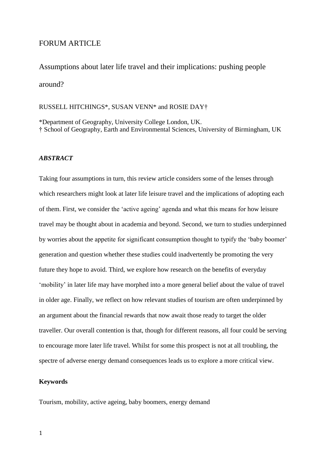# FORUM ARTICLE

Assumptions about later life travel and their implications: pushing people around?

# RUSSELL HITCHINGS\*, SUSAN VENN\* and ROSIE DAY†

\*Department of Geography, University College London, UK. † School of Geography, Earth and Environmental Sciences, University of Birmingham, UK

## *ABSTRACT*

Taking four assumptions in turn, this review article considers some of the lenses through which researchers might look at later life leisure travel and the implications of adopting each of them. First, we consider the 'active ageing' agenda and what this means for how leisure travel may be thought about in academia and beyond. Second, we turn to studies underpinned by worries about the appetite for significant consumption thought to typify the 'baby boomer' generation and question whether these studies could inadvertently be promoting the very future they hope to avoid. Third, we explore how research on the benefits of everyday 'mobility' in later life may have morphed into a more general belief about the value of travel in older age. Finally, we reflect on how relevant studies of tourism are often underpinned by an argument about the financial rewards that now await those ready to target the older traveller. Our overall contention is that, though for different reasons, all four could be serving to encourage more later life travel. Whilst for some this prospect is not at all troubling, the spectre of adverse energy demand consequences leads us to explore a more critical view.

## **Keywords**

Tourism, mobility, active ageing, baby boomers, energy demand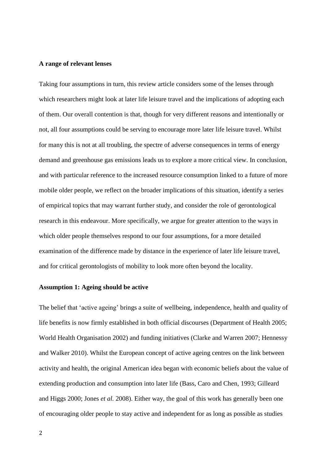### **A range of relevant lenses**

Taking four assumptions in turn, this review article considers some of the lenses through which researchers might look at later life leisure travel and the implications of adopting each of them. Our overall contention is that, though for very different reasons and intentionally or not, all four assumptions could be serving to encourage more later life leisure travel. Whilst for many this is not at all troubling, the spectre of adverse consequences in terms of energy demand and greenhouse gas emissions leads us to explore a more critical view. In conclusion, and with particular reference to the increased resource consumption linked to a future of more mobile older people, we reflect on the broader implications of this situation, identify a series of empirical topics that may warrant further study, and consider the role of gerontological research in this endeavour. More specifically, we argue for greater attention to the ways in which older people themselves respond to our four assumptions, for a more detailed examination of the difference made by distance in the experience of later life leisure travel, and for critical gerontologists of mobility to look more often beyond the locality.

### **Assumption 1: Ageing should be active**

The belief that 'active ageing' brings a suite of wellbeing, independence, health and quality of life benefits is now firmly established in both official discourses (Department of Health 2005; World Health Organisation 2002) and funding initiatives (Clarke and Warren 2007; Hennessy and Walker 2010). Whilst the European concept of active ageing centres on the link between activity and health, the original American idea began with economic beliefs about the value of extending production and consumption into later life (Bass, Caro and Chen, 1993; Gilleard and Higgs 2000; Jones *et al.* 2008). Either way, the goal of this work has generally been one of encouraging older people to stay active and independent for as long as possible as studies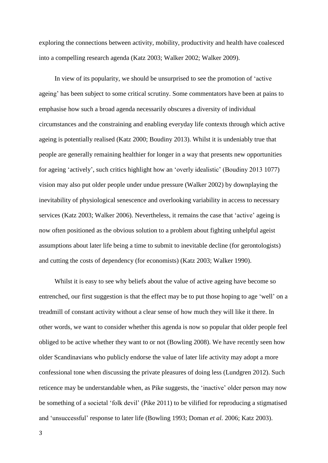exploring the connections between activity, mobility, productivity and health have coalesced into a compelling research agenda (Katz 2003; Walker 2002; Walker 2009).

In view of its popularity, we should be unsurprised to see the promotion of 'active ageing' has been subject to some critical scrutiny. Some commentators have been at pains to emphasise how such a broad agenda necessarily obscures a diversity of individual circumstances and the constraining and enabling everyday life contexts through which active ageing is potentially realised (Katz 2000; Boudiny 2013). Whilst it is undeniably true that people are generally remaining healthier for longer in a way that presents new opportunities for ageing 'actively', such critics highlight how an 'overly idealistic' (Boudiny 2013 1077) vision may also put older people under undue pressure (Walker 2002) by downplaying the inevitability of physiological senescence and overlooking variability in access to necessary services (Katz 2003; Walker 2006). Nevertheless, it remains the case that 'active' ageing is now often positioned as the obvious solution to a problem about fighting unhelpful ageist assumptions about later life being a time to submit to inevitable decline (for gerontologists) and cutting the costs of dependency (for economists) (Katz 2003; Walker 1990).

Whilst it is easy to see why beliefs about the value of active ageing have become so entrenched, our first suggestion is that the effect may be to put those hoping to age 'well' on a treadmill of constant activity without a clear sense of how much they will like it there. In other words, we want to consider whether this agenda is now so popular that older people feel obliged to be active whether they want to or not (Bowling 2008). We have recently seen how older Scandinavians who publicly endorse the value of later life activity may adopt a more confessional tone when discussing the private pleasures of doing less (Lundgren 2012). Such reticence may be understandable when, as Pike suggests, the 'inactive' older person may now be something of a societal 'folk devil' (Pike 2011) to be vilified for reproducing a stigmatised and 'unsuccessful' response to later life (Bowling 1993; Doman *et al.* 2006; Katz 2003).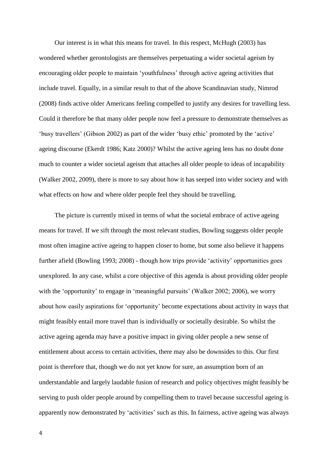Our interest is in what this means for travel. In this respect, McHugh (2003) has wondered whether gerontologists are themselves perpetuating a wider societal ageism by encouraging older people to maintain 'youthfulness' through active ageing activities that include travel. Equally, in a similar result to that of the above Scandinavian study, Nimrod (2008) finds active older Americans feeling compelled to justify any desires for travelling less. Could it therefore be that many older people now feel a pressure to demonstrate themselves as 'busy travellers' (Gibson 2002) as part of the wider 'busy ethic' promoted by the 'active' ageing discourse (Ekerdt 1986; Katz 2000)? Whilst the active ageing lens has no doubt done much to counter a wider societal ageism that attaches all older people to ideas of incapability (Walker 2002, 2009), there is more to say about how it has seeped into wider society and with what effects on how and where older people feel they should be travelling.

The picture is currently mixed in terms of what the societal embrace of active ageing means for travel. If we sift through the most relevant studies, Bowling suggests older people most often imagine active ageing to happen closer to home, but some also believe it happens further afield (Bowling 1993; 2008) - though how trips provide 'activity' opportunities goes unexplored. In any case, whilst a core objective of this agenda is about providing older people with the 'opportunity' to engage in 'meaningful pursuits' (Walker 2002; 2006), we worry about how easily aspirations for 'opportunity' become expectations about activity in ways that might feasibly entail more travel than is individually or societally desirable. So whilst the active ageing agenda may have a positive impact in giving older people a new sense of entitlement about access to certain activities, there may also be downsides to this. Our first point is therefore that, though we do not yet know for sure, an assumption born of an understandable and largely laudable fusion of research and policy objectives might feasibly be serving to push older people around by compelling them to travel because successful ageing is apparently now demonstrated by 'activities' such as this. In fairness, active ageing was always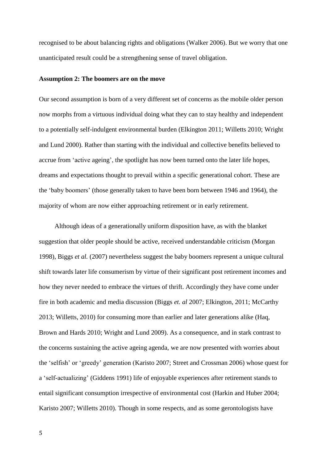recognised to be about balancing rights and obligations (Walker 2006). But we worry that one unanticipated result could be a strengthening sense of travel obligation.

#### **Assumption 2: The boomers are on the move**

Our second assumption is born of a very different set of concerns as the mobile older person now morphs from a virtuous individual doing what they can to stay healthy and independent to a potentially self-indulgent environmental burden (Elkington 2011; Willetts 2010; Wright and Lund 2000). Rather than starting with the individual and collective benefits believed to accrue from 'active ageing', the spotlight has now been turned onto the later life hopes, dreams and expectations thought to prevail within a specific generational cohort. These are the 'baby boomers' (those generally taken to have been born between 1946 and 1964), the majority of whom are now either approaching retirement or in early retirement.

Although ideas of a generationally uniform disposition have, as with the blanket suggestion that older people should be active, received understandable criticism (Morgan 1998), Biggs *et al.* (2007) nevertheless suggest the baby boomers represent a unique cultural shift towards later life consumerism by virtue of their significant post retirement incomes and how they never needed to embrace the virtues of thrift. Accordingly they have come under fire in both academic and media discussion (Biggs *et. al* 2007; Elkington, 2011; McCarthy 2013; Willetts, 2010) for consuming more than earlier and later generations alike (Haq, Brown and Hards 2010; Wright and Lund 2009). As a consequence, and in stark contrast to the concerns sustaining the active ageing agenda, we are now presented with worries about the 'selfish' or 'greedy' generation (Karisto 2007; Street and Crossman 2006) whose quest for a 'self-actualizing' (Giddens 1991) life of enjoyable experiences after retirement stands to entail significant consumption irrespective of environmental cost (Harkin and Huber 2004; Karisto 2007; Willetts 2010). Though in some respects, and as some gerontologists have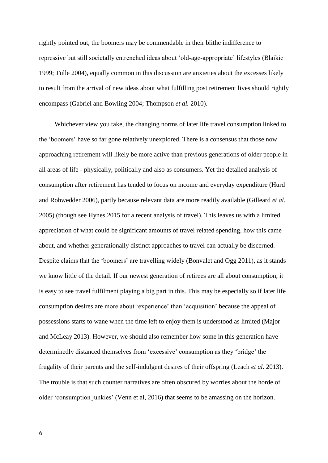rightly pointed out, the boomers may be commendable in their blithe indifference to repressive but still societally entrenched ideas about 'old-age-appropriate' lifestyles (Blaikie 1999; Tulle 2004), equally common in this discussion are anxieties about the excesses likely to result from the arrival of new ideas about what fulfilling post retirement lives should rightly encompass (Gabriel and Bowling 2004; Thompson *et al.* 2010).

Whichever view you take, the changing norms of later life travel consumption linked to the 'boomers' have so far gone relatively unexplored. There is a consensus that those now approaching retirement will likely be more active than previous generations of older people in all areas of life - physically, politically and also as consumers. Yet the detailed analysis of consumption after retirement has tended to focus on income and everyday expenditure (Hurd and Rohwedder 2006), partly because relevant data are more readily available (Gilleard *et al.*  2005) (though see Hynes 2015 for a recent analysis of travel). This leaves us with a limited appreciation of what could be significant amounts of travel related spending, how this came about, and whether generationally distinct approaches to travel can actually be discerned. Despite claims that the 'boomers' are travelling widely (Bonvalet and Ogg 2011), as it stands we know little of the detail. If our newest generation of retirees are all about consumption, it is easy to see travel fulfilment playing a big part in this. This may be especially so if later life consumption desires are more about 'experience' than 'acquisition' because the appeal of possessions starts to wane when the time left to enjoy them is understood as limited (Major and McLeay 2013). However, we should also remember how some in this generation have determinedly distanced themselves from 'excessive' consumption as they 'bridge' the frugality of their parents and the self-indulgent desires of their offspring (Leach *et al.* 2013). The trouble is that such counter narratives are often obscured by worries about the horde of older 'consumption junkies' (Venn et al, 2016) that seems to be amassing on the horizon.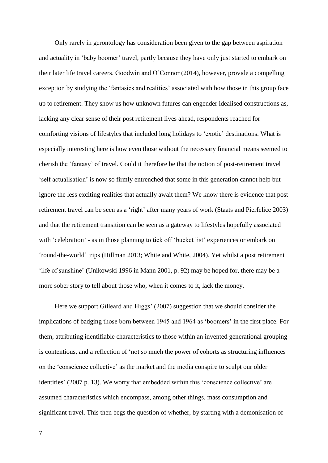Only rarely in gerontology has consideration been given to the gap between aspiration and actuality in 'baby boomer' travel, partly because they have only just started to embark on their later life travel careers. Goodwin and O'Connor (2014), however, provide a compelling exception by studying the 'fantasies and realities' associated with how those in this group face up to retirement. They show us how unknown futures can engender idealised constructions as, lacking any clear sense of their post retirement lives ahead, respondents reached for comforting visions of lifestyles that included long holidays to 'exotic' destinations. What is especially interesting here is how even those without the necessary financial means seemed to cherish the 'fantasy' of travel. Could it therefore be that the notion of post-retirement travel 'self actualisation' is now so firmly entrenched that some in this generation cannot help but ignore the less exciting realities that actually await them? We know there is evidence that post retirement travel can be seen as a 'right' after many years of work (Staats and Pierfelice 2003) and that the retirement transition can be seen as a gateway to lifestyles hopefully associated with 'celebration' - as in those planning to tick off 'bucket list' experiences or embark on 'round-the-world' trips (Hillman 2013; White and White, 2004). Yet whilst a post retirement 'life of sunshine' (Unikowski 1996 in Mann 2001, p. 92) may be hoped for, there may be a more sober story to tell about those who, when it comes to it, lack the money.

Here we support Gilleard and Higgs' (2007) suggestion that we should consider the implications of badging those born between 1945 and 1964 as 'boomers' in the first place. For them, attributing identifiable characteristics to those within an invented generational grouping is contentious, and a reflection of 'not so much the power of cohorts as structuring influences on the 'conscience collective' as the market and the media conspire to sculpt our older identities' (2007 p. 13). We worry that embedded within this 'conscience collective' are assumed characteristics which encompass, among other things, mass consumption and significant travel. This then begs the question of whether, by starting with a demonisation of

7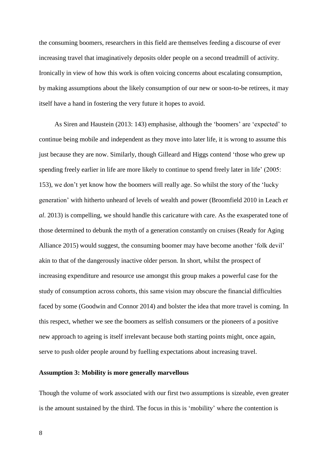the consuming boomers, researchers in this field are themselves feeding a discourse of ever increasing travel that imaginatively deposits older people on a second treadmill of activity. Ironically in view of how this work is often voicing concerns about escalating consumption, by making assumptions about the likely consumption of our new or soon-to-be retirees, it may itself have a hand in fostering the very future it hopes to avoid.

As Siren and Haustein (2013: 143) emphasise, although the 'boomers' are 'expected' to continue being mobile and independent as they move into later life, it is wrong to assume this just because they are now. Similarly, though Gilleard and Higgs contend 'those who grew up spending freely earlier in life are more likely to continue to spend freely later in life' (2005: 153), we don't yet know how the boomers will really age. So whilst the story of the 'lucky generation' with hitherto unheard of levels of wealth and power (Broomfield 2010 in Leach *et al*. 2013) is compelling, we should handle this caricature with care. As the exasperated tone of those determined to debunk the myth of a generation constantly on cruises (Ready for Aging Alliance 2015) would suggest, the consuming boomer may have become another 'folk devil' akin to that of the dangerously inactive older person. In short, whilst the prospect of increasing expenditure and resource use amongst this group makes a powerful case for the study of consumption across cohorts, this same vision may obscure the financial difficulties faced by some (Goodwin and Connor 2014) and bolster the idea that more travel is coming. In this respect, whether we see the boomers as selfish consumers or the pioneers of a positive new approach to ageing is itself irrelevant because both starting points might, once again, serve to push older people around by fuelling expectations about increasing travel.

## **Assumption 3: Mobility is more generally marvellous**

Though the volume of work associated with our first two assumptions is sizeable, even greater is the amount sustained by the third. The focus in this is 'mobility' where the contention is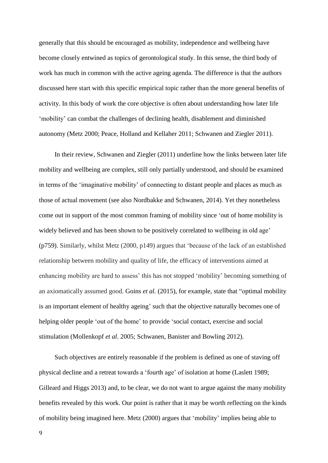generally that this should be encouraged as mobility, independence and wellbeing have become closely entwined as topics of gerontological study. In this sense, the third body of work has much in common with the active ageing agenda. The difference is that the authors discussed here start with this specific empirical topic rather than the more general benefits of activity. In this body of work the core objective is often about understanding how later life 'mobility' can combat the challenges of declining health, disablement and diminished autonomy (Metz 2000; Peace, Holland and Kellaher 2011; Schwanen and Ziegler 2011).

In their review, Schwanen and Ziegler (2011) underline how the links between later life mobility and wellbeing are complex, still only partially understood, and should be examined in terms of the 'imaginative mobility' of connecting to distant people and places as much as those of actual movement (see also Nordbakke and Schwanen, 2014). Yet they nonetheless come out in support of the most common framing of mobility since 'out of home mobility is widely believed and has been shown to be positively correlated to wellbeing in old age' (p759). Similarly, whilst Metz (2000, p149) argues that 'because of the lack of an established relationship between mobility and quality of life, the efficacy of interventions aimed at enhancing mobility are hard to assess' this has not stopped 'mobility' becoming something of an axiomatically assumed good. Goins *et al.* (2015), for example, state that "optimal mobility is an important element of healthy ageing' such that the objective naturally becomes one of helping older people 'out of the home' to provide 'social contact, exercise and social stimulation (Mollenkopf *et al*. 2005; Schwanen, Banister and Bowling 2012).

Such objectives are entirely reasonable if the problem is defined as one of staving off physical decline and a retreat towards a 'fourth age' of isolation at home (Laslett 1989; Gilleard and Higgs 2013) and, to be clear, we do not want to argue against the many mobility benefits revealed by this work. Our point is rather that it may be worth reflecting on the kinds of mobility being imagined here. Metz (2000) argues that 'mobility' implies being able to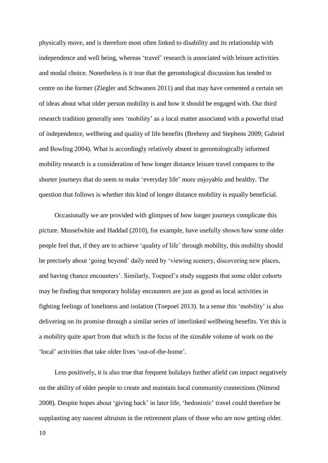physically move, and is therefore most often linked to disability and its relationship with independence and well being, whereas 'travel' research is associated with leisure activities and modal choice. Nonetheless is it true that the gerontological discussion has tended to centre on the former (Ziegler and Schwanen 2011) and that may have cemented a certain set of ideas about what older person mobility is and how it should be engaged with. Our third research tradition generally sees 'mobility' as a local matter associated with a powerful triad of independence, wellbeing and quality of life benefits (Breheny and Stephens 2009; Gabriel and Bowling 2004). What is accordingly relatively absent in gerontologically informed mobility research is a consideration of how longer distance leisure travel compares to the shorter journeys that do seem to make 'everyday life' more enjoyable and healthy. The question that follows is whether this kind of longer distance mobility is equally beneficial.

Occasionally we are provided with glimpses of how longer journeys complicate this picture. Musselwhite and Haddad (2010), for example, have usefully shown how some older people feel that, if they are to achieve 'quality of life' through mobility, this mobility should be precisely about 'going beyond' daily need by 'viewing scenery, discovering new places, and having chance encounters'. Similarly, Toepoel's study suggests that some older cohorts may be finding that temporary holiday encounters are just as good as local activities in fighting feelings of loneliness and isolation (Toepoel 2013). In a sense this 'mobility' is also delivering on its promise through a similar series of interlinked wellbeing benefits. Yet this is a mobility quite apart from that which is the focus of the sizeable volume of work on the 'local' activities that take older lives 'out-of-the-home'.

Less positively, it is also true that frequent holidays further afield can impact negatively on the ability of older people to create and maintain local community connections (Nimrod 2008). Despite hopes about 'giving back' in later life, 'hedonistic' travel could therefore be supplanting any nascent altruism in the retirement plans of those who are now getting older.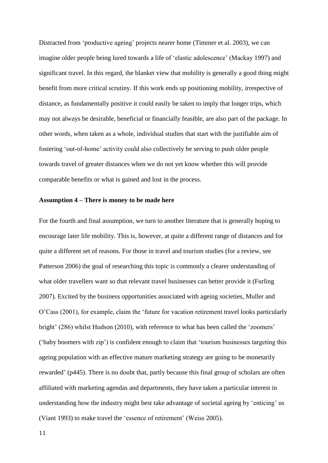Distracted from 'productive ageing' projects nearer home (Timmer et al. 2003), we can imagine older people being lured towards a life of 'elastic adolescence' (Mackay 1997) and significant travel. In this regard, the blanket view that mobility is generally a good thing might benefit from more critical scrutiny. If this work ends up positioning mobility, irrespective of distance, as fundamentally positive it could easily be taken to imply that longer trips, which may not always be desirable, beneficial or financially feasible, are also part of the package. In other words, when taken as a whole, individual studies that start with the justifiable aim of fostering 'out-of-home' activity could also collectively be serving to push older people towards travel of greater distances when we do not yet know whether this will provide comparable benefits or what is gained and lost in the process.

#### **Assumption 4 – There is money to be made here**

For the fourth and final assumption, we turn to another literature that is generally hoping to encourage later life mobility. This is, however, at quite a different range of distances and for quite a different set of reasons. For those in travel and tourism studies (for a review, see Patterson 2006) the goal of researching this topic is commonly a clearer understanding of what older travellers want so that relevant travel businesses can better provide it (Furling 2007). Excited by the business opportunities associated with ageing societies, Muller and O'Cass (2001), for example, claim the 'future for vacation retirement travel looks particularly bright' (286) whilst Hudson (2010), with reference to what has been called the 'zoomers' ('baby boomers with zip') is confident enough to claim that 'tourism businesses targeting this ageing population with an effective mature marketing strategy are going to be monetarily rewarded' (p445). There is no doubt that, partly because this final group of scholars are often affiliated with marketing agendas and departments, they have taken a particular interest in understanding how the industry might best take advantage of societal ageing by 'enticing' us (Viant 1993) to make travel the 'essence of retirement' (Weiss 2005).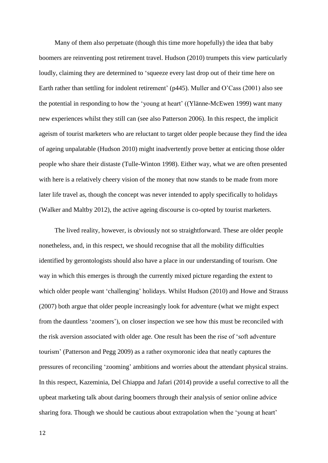Many of them also perpetuate (though this time more hopefully) the idea that baby boomers are reinventing post retirement travel. Hudson (2010) trumpets this view particularly loudly, claiming they are determined to 'squeeze every last drop out of their time here on Earth rather than settling for indolent retirement' (p445). Muller and O'Cass (2001) also see the potential in responding to how the 'young at heart' ((Ylänne-McEwen 1999) want many new experiences whilst they still can (see also Patterson 2006). In this respect, the implicit ageism of tourist marketers who are reluctant to target older people because they find the idea of ageing unpalatable (Hudson 2010) might inadvertently prove better at enticing those older people who share their distaste (Tulle-Winton 1998). Either way, what we are often presented with here is a relatively cheery vision of the money that now stands to be made from more later life travel as, though the concept was never intended to apply specifically to holidays (Walker and Maltby 2012), the active ageing discourse is co-opted by tourist marketers.

The lived reality, however, is obviously not so straightforward. These are older people nonetheless, and, in this respect, we should recognise that all the mobility difficulties identified by gerontologists should also have a place in our understanding of tourism. One way in which this emerges is through the currently mixed picture regarding the extent to which older people want 'challenging' holidays. Whilst Hudson (2010) and Howe and Strauss (2007) both argue that older people increasingly look for adventure (what we might expect from the dauntless 'zoomers'), on closer inspection we see how this must be reconciled with the risk aversion associated with older age. One result has been the rise of 'soft adventure tourism' (Patterson and Pegg 2009) as a rather oxymoronic idea that neatly captures the pressures of reconciling 'zooming' ambitions and worries about the attendant physical strains. In this respect, Kazeminia, Del Chiappa and Jafari (2014) provide a useful corrective to all the upbeat marketing talk about daring boomers through their analysis of senior online advice sharing fora. Though we should be cautious about extrapolation when the 'young at heart'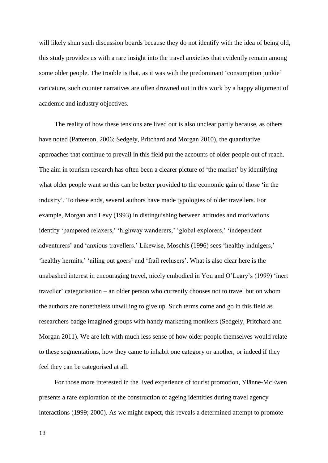will likely shun such discussion boards because they do not identify with the idea of being old, this study provides us with a rare insight into the travel anxieties that evidently remain among some older people. The trouble is that, as it was with the predominant 'consumption junkie' caricature, such counter narratives are often drowned out in this work by a happy alignment of academic and industry objectives.

The reality of how these tensions are lived out is also unclear partly because, as others have noted (Patterson, 2006; Sedgely, Pritchard and Morgan 2010), the quantitative approaches that continue to prevail in this field put the accounts of older people out of reach. The aim in tourism research has often been a clearer picture of 'the market' by identifying what older people want so this can be better provided to the economic gain of those 'in the industry'. To these ends, several authors have made typologies of older travellers. For example, Morgan and Levy (1993) in distinguishing between attitudes and motivations identify 'pampered relaxers,' 'highway wanderers,' 'global explorers,' 'independent adventurers' and 'anxious travellers.' Likewise, Moschis (1996) sees 'healthy indulgers,' 'healthy hermits,' 'ailing out goers' and 'frail reclusers'. What is also clear here is the unabashed interest in encouraging travel, nicely embodied in You and O'Leary's (1999) 'inert traveller' categorisation – an older person who currently chooses not to travel but on whom the authors are nonetheless unwilling to give up. Such terms come and go in this field as researchers badge imagined groups with handy marketing monikers (Sedgely, Pritchard and Morgan 2011). We are left with much less sense of how older people themselves would relate to these segmentations, how they came to inhabit one category or another, or indeed if they feel they can be categorised at all.

For those more interested in the lived experience of tourist promotion, Ylänne-McEwen presents a rare exploration of the construction of ageing identities during travel agency interactions (1999; 2000). As we might expect, this reveals a determined attempt to promote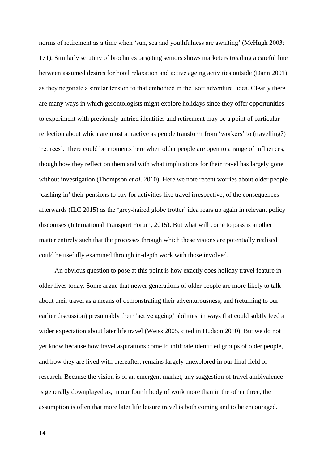norms of retirement as a time when 'sun, sea and youthfulness are awaiting' (McHugh 2003: 171). Similarly scrutiny of brochures targeting seniors shows marketers treading a careful line between assumed desires for hotel relaxation and active ageing activities outside (Dann 2001) as they negotiate a similar tension to that embodied in the 'soft adventure' idea. Clearly there are many ways in which gerontologists might explore holidays since they offer opportunities to experiment with previously untried identities and retirement may be a point of particular reflection about which are most attractive as people transform from 'workers' to (travelling?) 'retirees'. There could be moments here when older people are open to a range of influences, though how they reflect on them and with what implications for their travel has largely gone without investigation (Thompson *et al*. 2010). Here we note recent worries about older people 'cashing in' their pensions to pay for activities like travel irrespective, of the consequences afterwards (ILC 2015) as the 'grey-haired globe trotter' idea rears up again in relevant policy discourses (International Transport Forum, 2015). But what will come to pass is another matter entirely such that the processes through which these visions are potentially realised could be usefully examined through in-depth work with those involved.

An obvious question to pose at this point is how exactly does holiday travel feature in older lives today. Some argue that newer generations of older people are more likely to talk about their travel as a means of demonstrating their adventurousness, and (returning to our earlier discussion) presumably their 'active ageing' abilities, in ways that could subtly feed a wider expectation about later life travel (Weiss 2005, cited in Hudson 2010). But we do not yet know because how travel aspirations come to infiltrate identified groups of older people, and how they are lived with thereafter, remains largely unexplored in our final field of research. Because the vision is of an emergent market, any suggestion of travel ambivalence is generally downplayed as, in our fourth body of work more than in the other three, the assumption is often that more later life leisure travel is both coming and to be encouraged.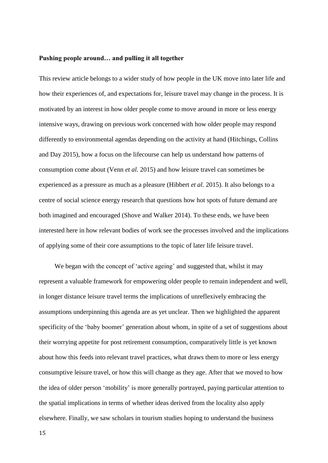### **Pushing people around… and pulling it all together**

This review article belongs to a wider study of how people in the UK move into later life and how their experiences of, and expectations for, leisure travel may change in the process. It is motivated by an interest in how older people come to move around in more or less energy intensive ways, drawing on previous work concerned with how older people may respond differently to environmental agendas depending on the activity at hand (Hitchings, Collins and Day 2015), how a focus on the lifecourse can help us understand how patterns of consumption come about (Venn *et al.* 2015) and how leisure travel can sometimes be experienced as a pressure as much as a pleasure (Hibbert *et al.* 2015). It also belongs to a centre of social science energy research that questions how hot spots of future demand are both imagined and encouraged (Shove and Walker 2014). To these ends, we have been interested here in how relevant bodies of work see the processes involved and the implications of applying some of their core assumptions to the topic of later life leisure travel.

We began with the concept of 'active ageing' and suggested that, whilst it may represent a valuable framework for empowering older people to remain independent and well, in longer distance leisure travel terms the implications of unreflexively embracing the assumptions underpinning this agenda are as yet unclear. Then we highlighted the apparent specificity of the 'baby boomer' generation about whom, in spite of a set of suggestions about their worrying appetite for post retirement consumption, comparatively little is yet known about how this feeds into relevant travel practices, what draws them to more or less energy consumptive leisure travel, or how this will change as they age. After that we moved to how the idea of older person 'mobility' is more generally portrayed, paying particular attention to the spatial implications in terms of whether ideas derived from the locality also apply elsewhere. Finally, we saw scholars in tourism studies hoping to understand the business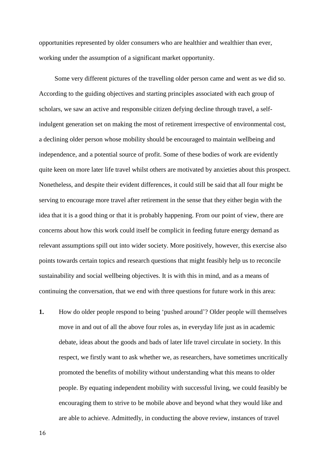opportunities represented by older consumers who are healthier and wealthier than ever, working under the assumption of a significant market opportunity.

Some very different pictures of the travelling older person came and went as we did so. According to the guiding objectives and starting principles associated with each group of scholars, we saw an active and responsible citizen defying decline through travel, a selfindulgent generation set on making the most of retirement irrespective of environmental cost, a declining older person whose mobility should be encouraged to maintain wellbeing and independence, and a potential source of profit. Some of these bodies of work are evidently quite keen on more later life travel whilst others are motivated by anxieties about this prospect. Nonetheless, and despite their evident differences, it could still be said that all four might be serving to encourage more travel after retirement in the sense that they either begin with the idea that it is a good thing or that it is probably happening. From our point of view, there are concerns about how this work could itself be complicit in feeding future energy demand as relevant assumptions spill out into wider society. More positively, however, this exercise also points towards certain topics and research questions that might feasibly help us to reconcile sustainability and social wellbeing objectives. It is with this in mind, and as a means of continuing the conversation, that we end with three questions for future work in this area:

**1.** How do older people respond to being 'pushed around'? Older people will themselves move in and out of all the above four roles as, in everyday life just as in academic debate, ideas about the goods and bads of later life travel circulate in society. In this respect, we firstly want to ask whether we, as researchers, have sometimes uncritically promoted the benefits of mobility without understanding what this means to older people. By equating independent mobility with successful living, we could feasibly be encouraging them to strive to be mobile above and beyond what they would like and are able to achieve. Admittedly, in conducting the above review, instances of travel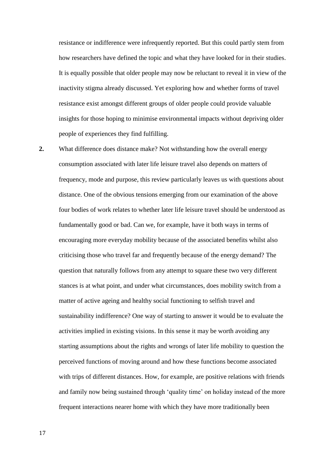resistance or indifference were infrequently reported. But this could partly stem from how researchers have defined the topic and what they have looked for in their studies. It is equally possible that older people may now be reluctant to reveal it in view of the inactivity stigma already discussed. Yet exploring how and whether forms of travel resistance exist amongst different groups of older people could provide valuable insights for those hoping to minimise environmental impacts without depriving older people of experiences they find fulfilling.

**2.** What difference does distance make? Not withstanding how the overall energy consumption associated with later life leisure travel also depends on matters of frequency, mode and purpose, this review particularly leaves us with questions about distance. One of the obvious tensions emerging from our examination of the above four bodies of work relates to whether later life leisure travel should be understood as fundamentally good or bad. Can we, for example, have it both ways in terms of encouraging more everyday mobility because of the associated benefits whilst also criticising those who travel far and frequently because of the energy demand? The question that naturally follows from any attempt to square these two very different stances is at what point, and under what circumstances, does mobility switch from a matter of active ageing and healthy social functioning to selfish travel and sustainability indifference? One way of starting to answer it would be to evaluate the activities implied in existing visions. In this sense it may be worth avoiding any starting assumptions about the rights and wrongs of later life mobility to question the perceived functions of moving around and how these functions become associated with trips of different distances. How, for example, are positive relations with friends and family now being sustained through 'quality time' on holiday instead of the more frequent interactions nearer home with which they have more traditionally been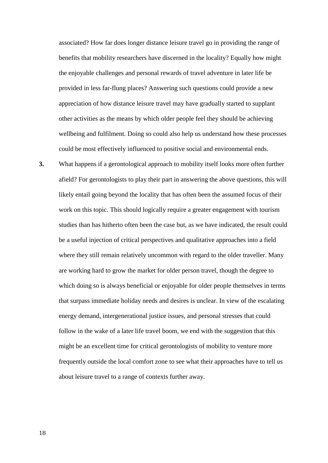associated? How far does longer distance leisure travel go in providing the range of benefits that mobility researchers have discerned in the locality? Equally how might the enjoyable challenges and personal rewards of travel adventure in later life be provided in less far-flung places? Answering such questions could provide a new appreciation of how distance leisure travel may have gradually started to supplant other activities as the means by which older people feel they should be achieving wellbeing and fulfilment. Doing so could also help us understand how these processes could be most effectively influenced to positive social and environmental ends.

**3.** What happens if a gerontological approach to mobility itself looks more often further afield? For gerontologists to play their part in answering the above questions, this will likely entail going beyond the locality that has often been the assumed focus of their work on this topic. This should logically require a greater engagement with tourism studies than has hitherto often been the case but, as we have indicated, the result could be a useful injection of critical perspectives and qualitative approaches into a field where they still remain relatively uncommon with regard to the older traveller. Many are working hard to grow the market for older person travel, though the degree to which doing so is always beneficial or enjoyable for older people themselves in terms that surpass immediate holiday needs and desires is unclear. In view of the escalating energy demand, intergenerational justice issues, and personal stresses that could follow in the wake of a later life travel boom, we end with the suggestion that this might be an excellent time for critical gerontologists of mobility to venture more frequently outside the local comfort zone to see what their approaches have to tell us about leisure travel to a range of contexts further away.

18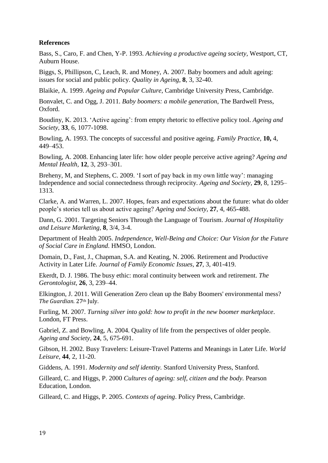# **References**

Bass, S., Caro, F. and Chen, Y-P. 1993. *Achieving a productive ageing society,* Westport, CT, Auburn House.

Biggs, S, Phillipson, C, Leach, R. and Money, A. 2007. Baby boomers and adult ageing: issues for social and public policy. *Quality in Ageing*, **8**, 3, 32-40.

Blaikie, A. 1999. *Ageing and Popular Culture*, Cambridge University Press, Cambridge.

Bonvalet, C. and Ogg, J. 2011. *Baby boomers: a mobile generation*, The Bardwell Press, Oxford.

Boudiny, K. 2013. 'Active ageing': from empty rhetoric to effective policy tool. *Ageing and Society*, **33**, 6, 1077-1098.

Bowling, A. 1993. The concepts of successful and positive ageing. *Family Practice,* **10,** 4, 449–453.

Bowling, A. 2008. Enhancing later life: how older people perceive active ageing? *Ageing and Mental Health,* **12**, 3, 293–301.

Breheny, M, and Stephens, C. 2009. 'I sort of pay back in my own little way': managing Independence and social connectedness through reciprocity. *Ageing and Society,* **29**, 8, 1295– 1313.

Clarke, A. and Warren, L. 2007. Hopes, fears and expectations about the future: what do older people's stories tell us about active ageing? *Ageing and Society,* **27**, 4, 465-488.

Dann, G. 2001. Targeting Seniors Through the Language of Tourism. *Journal of Hospitality and Leisure Marketing,* **8**, 3/4, 3-4.

Department of Health 2005. *Independence, Well-Being and Choice: Our Vision for the Future of Social Care in England*. HMSO, London.

Domain, D., Fast, J., Chapman, S.A. and Keating, N. 2006. Retirement and Productive Activity in Later Life. *Journal of Family Economic Issues,* **27**, 3, 401-419.

Ekerdt, D. J. 1986. The busy ethic: moral continuity between work and retirement. *The Gerontologist,* **26**, 3, 239–44.

Elkington, J. 2011. Will Generation Zero clean up the Baby Boomers' environmental mess? *The Guardian*. 27th July.

Furling, M. 2007. *Turning silver into gold: how to profit in the new boomer marketplace*. London, FT Press.

Gabriel, Z. and Bowling, A. 2004. Quality of life from the perspectives of older people. *Ageing and Society,* **24**, 5, 675-691.

Gibson, H. 2002. Busy Travelers: Leisure-Travel Patterns and Meanings in Later Life. *World Leisure,* **44**, 2, 11-20.

Giddens, A. 1991. *Modernity and self identity.* Stanford University Press, Stanford.

Gilleard, C. and Higgs, P. 2000 *Cultures of ageing: self, citizen and the body.* Pearson Education, London.

Gilleard, C. and Higgs, P. 2005. *Contexts of ageing*. Policy Press, Cambridge.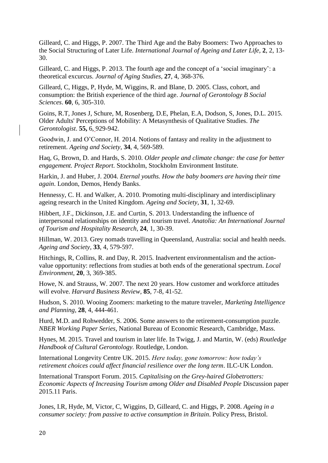Gilleard, C. and Higgs, P. 2007. The Third Age and the Baby Boomers: Two Approaches to the Social Structuring of Later Life. *International Journal of Ageing and Later Life,* **2**, 2, 13- 30.

Gilleard, C. and Higgs, P. 2013. The fourth age and the concept of a 'social imaginary': a theoretical excurcus. *Journal of Aging Studies,* **27**, 4, 368-376.

Gilleard, C, Higgs, P, Hyde, M, Wiggins, R. and Blane, D. 2005. Class, cohort, and consumption: the British experience of the third age. *Journal of Gerontology B Social Sciences*. **60**, 6, 305-310.

[Goins, R.T,](http://www.unboundmedicine.com/medline/?st=M&author=Goins%20RT) [Jones J,](http://www.unboundmedicine.com/medline/?st=M&author=Jones%20J) [Schure, M,](http://www.unboundmedicine.com/medline/?st=M&author=Schure%20M) [Rosenberg, D.E,](http://www.unboundmedicine.com/medline/?st=M&author=Rosenberg%20DE) [Phelan, E.A,](http://www.unboundmedicine.com/medline/?st=M&author=Phelan%20EA) [Dodson, S,](http://www.unboundmedicine.com/medline/?st=M&author=Dodson%20S) [Jones, D.L.](http://www.unboundmedicine.com/medline/?st=M&author=Jones%20DL) 2015. Older Adults' Perceptions of Mobility: A Metasynthesis of Qualitative Studies. *The Gerontologist*. **55,** 6, 929-942.

Goodwin, J. and O'Connor, H. 2014. Notions of fantasy and reality in the adjustment to retirement. *Ageing and Society,* **34**, 4, 569-589.

Haq, G, Brown, D. and Hards, S. 2010. *Older people and climate change: the case for better engagement. Project Report.* Stockholm, Stockholm Environment Institute.

Harkin, J. and Huber, J. 2004. *Eternal youths. How the baby boomers are having their time again*. London, Demos, Hendy Banks.

Hennessy, C. H. and Walker, A. 2010. Promoting multi-disciplinary and interdisciplinary ageing research in the United Kingdom. *Ageing and Society*, **31**, 1, 32-69.

Hibbert, J.F., Dickinson, J.E. and Curtin, S. 2013. Understanding the influence of interpersonal relationships on identity and tourism travel. *Anatolia: An International Journal of Tourism and Hospitality Research*, **24**, 1, 30-39.

Hillman, W. 2013. Grey nomads travelling in Queensland, Australia: social and health needs. *Ageing and Society,* **33**, 4, 579-597.

Hitchings, R, Collins, R. and Day, R. 2015. Inadvertent environmentalism and the actionvalue opportunity: reflections from studies at both ends of the generational spectrum. *Local Environment,* **20**, 3, 369-385.

Howe, N. and Strauss, W. 2007. The next 20 years. How customer and workforce attitudes will evolve. *Harvard Business Review,* **85**, 7-8, 41-52.

Hudson, S. 2010. Wooing Zoomers: marketing to the mature traveler, *Marketing Intelligence and Planning,* **28**, 4, 444-461.

Hurd, M.D. and Rohwedder, S. 2006. Some answers to the retirement-consumption puzzle. *NBER Working Paper Series*, National Bureau of Economic Research, Cambridge, Mass.

Hynes, M. 2015. Travel and tourism in later life. In Twigg, J. and Martin, W. (eds) *Routledge Handbook of Cultural Gerontology.* Routledge, London.

International Longevity Centre UK. 2015. *Here today, gone tomorrow: how today's retirement choices could affect financial resilience over the long term*. ILC-UK London.

International Transport Forum. 2015. *Capitalising on the Grey-haired Globetrotters: Economic Aspects of Increasing Tourism among Older and Disabled People* Discussion paper 2015.11 Paris.

Jones, I.R, Hyde, M, Victor, C, Wiggins, D, Gilleard, C. and Higgs, P. 2008. *Ageing in a consumer society: from passive to active consumption in Britain*. Policy Press, Bristol.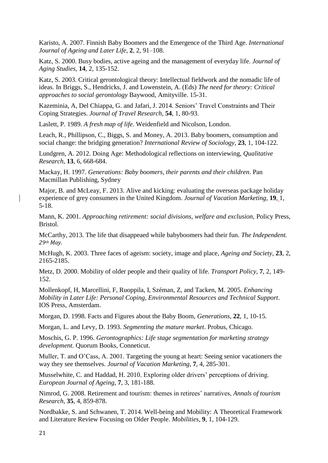Karisto, A. 2007. Finnish Baby Boomers and the Emergence of the Third Age. *International Journal of Ageing and Later Life,* **2**, 2, 91–108.

Katz, S. 2000. Busy bodies, active ageing and the management of everyday life. *Journal of Aging Studies,* **14**, 2, 135-152.

Katz, S. 2003. Critical gerontological theory: Intellectual fieldwork and the nomadic life of ideas. In Briggs, S., Hendricks, J. and Lowenstein, A. (Eds) *The need for theory: Critical approaches to social gerontology* Baywood, Amityville. 15-31.

Kazeminia, A, Del Chiappa, G. and Jafari, J. 2014. Seniors' Travel Constraints and Their Coping Strategies. *Journal of Travel Research*, **54**, 1, 80-93.

Laslett, P. 1989. *A fresh map of life.* Weidenfield and Nicolson, London.

Leach, R., Phillipson, C., Biggs, S. and Money, A. 2013. Baby boomers, consumption and social change: the bridging generation? *International Review of Sociology,* **23**, 1, 104-122.

Lundgren, A. 2012. Doing Age: Methodological reflections on interviewing, *Qualitative Research,* **13**, 6, 668-684.

Mackay, H. 1997. *Generations: Baby boomers, their parents and their children*. Pan Macmillan Publishing, Sydney

Major, B. and McLeay, F. 2013. Alive and kicking: evaluating the overseas package holiday experience of grey consumers in the United Kingdom. *Journal of Vacation Marketing,* **19**, 1, 5-18.

Mann, K. 2001. *Approaching retirement: social divisions, welfare and exclusion,* Policy Press, Bristol.

McCarthy, 2013. The life that disappeaed while babyboomers had their fun. *The Independent. 29th May.*

McHugh, K. 2003. Three faces of ageism: society, image and place, *Ageing and Society,* **23**, 2, 2165-2185.

Metz, D. 2000. Mobility of older people and their quality of life. *Transport Policy,* **7**, 2, 149- 152.

Mollenkopf, H, Marcellini, F, Ruoppila, I, Széman, Z, and Tacken, M. 2005. *Enhancing Mobility in Later Life: Personal Coping, Environmental Resources and Technical Support*. IOS Press, Amsterdam.

Morgan, D. 1998. Facts and Figures about the Baby Boom, *Generations,* **22**, 1, 10-15.

Morgan, L. and Levy, D. 1993. *Segmenting the mature market*. Probus, Chicago.

Moschis, G. P. 1996. *Gerontographics: Life stage segmentation for marketing strategy development.* Quorum Books, Conneticut.

Muller, T. and O'Cass, A. 2001. Targeting the young at heart: Seeing senior vacationers the way they see themselves. *Journal of Vacation Marketing*, **7**, 4, 285-301.

Musselwhite, C. and Haddad, H. 2010. Exploring older drivers' perceptions of driving. *European Journal of Ageing*, **7**, 3, 181-188.

Nimrod, G. 2008. Retirement and tourism: themes in retirees' narratives, *Annals of tourism Research,* **35**, 4, 859-878.

Nordbakke, S. and Schwanen, T. 2014. Well-being and Mobility: A Theoretical Framework and Literature Review Focusing on Older People. *Mobilities,* **9**, 1, 104-129.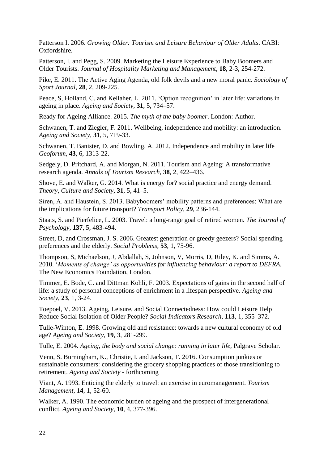Patterson I. 2006. *Growing Older: Tourism and Leisure Behaviour of Older Adults*. CABI: Oxfordshire.

Patterson, I. and Pegg, S. 2009. Marketing the Leisure Experience to Baby Boomers and Older Tourists. *Journal of Hospitality Marketing and Management,* **18**, 2-3, 254-272.

Pike, E. 2011. The Active Aging Agenda, old folk devils and a new moral panic. *Sociology of Sport Journal,* **28**, 2, 209-225.

Peace, S, Holland, C. and Kellaher, L. 2011. 'Option recognition' in later life: variations in ageing in place. *Ageing and Society,* **31**, 5, 734–57.

Ready for Ageing Alliance. 2015. *The myth of the baby boomer*. London: Author.

Schwanen, T. and Ziegler, F. 2011. Wellbeing, independence and mobility: an introduction. *Ageing and Society,* **31**, 5, 719-33.

Schwanen, T. Banister, D. and Bowling, A. 2012. Independence and mobility in later life *Geoforum,* **43**, 6, 1313-22.

Sedgely, D. Pritchard, A. and Morgan, N. 2011. Tourism and Ageing: A transformative research agenda. *Annals of Tourism Research,* **38**, 2, 422–436.

Shove, E. and Walker, G. 2014. What is energy for? social practice and energy demand. *Theory, Culture and Society,* **31**, 5, 41–5.

Siren, A. and Haustein, S. 2013. Babyboomers' mobility patterns and preferences: What are the implications for future transport? *Transport Policy,* **29**, 236-144.

Staats, S. and Pierfelice, L. 2003. Travel: a long-range goal of retired women. *The Journal of Psychology,* **137**, 5, 483-494.

Street, D, and Crossman, J. S. 2006. Greatest generation or greedy geezers? Social spending preferences and the elderly. *Social Problems,* **53**, 1, 75-96.

Thompson, S, Michaelson, J, Abdallah, S, Johnson, V, Morris, D, Riley, K. and Simms, A. 2010. '*Moments of change' as opportunities for influencing behaviour: a report to DEFRA.* The New Economics Foundation, London.

Timmer, E. Bode, C. and Dittman Kohli, F. 2003. Expectations of gains in the second half of life: a study of personal conceptions of enrichment in a lifespan perspective. *Ageing and Society,* **23**, 1, 3-24.

Toepoel, V. 2013. Ageing, Leisure, and Social Connectedness: How could Leisure Help Reduce Social Isolation of Older People? *Social Indicators Research,* **113**, 1, 355–372.

Tulle-Winton, E. 1998. Growing old and resistance: towards a new cultural economy of old age? *Ageing and Society,* **19**, 3, 281-299.

Tulle, E. 2004. *Ageing, the body and social change: running in later life,* Palgrave Scholar.

Venn, S. Burningham, K., Christie, I. and Jackson, T. 2016. Consumption junkies or sustainable consumers: considering the grocery shopping practices of those transitioning to retirement. *Ageing and Society* - forthcoming

Viant, A. 1993. Enticing the elderly to travel: an exercise in euromanagement. *Tourism Management,* 1**4**, 1, 52-60.

Walker, A. 1990. The economic burden of ageing and the prospect of intergenerational conflict. *Ageing and Society,* **10**, 4, 377-396.